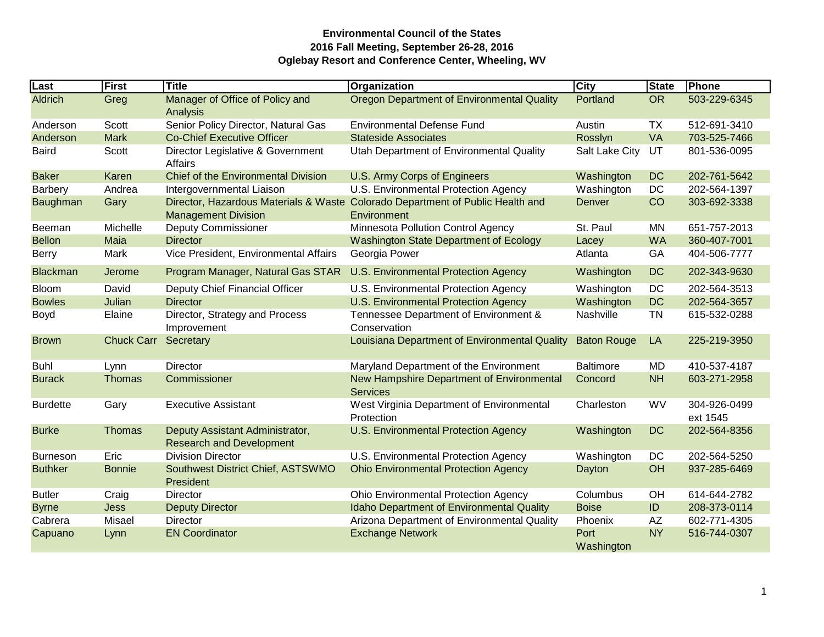| Last            | First             | <b>Title</b>                                                       | Organization                                                                                  | <b>City</b>        | <b>State</b> | <b>Phone</b>             |
|-----------------|-------------------|--------------------------------------------------------------------|-----------------------------------------------------------------------------------------------|--------------------|--------------|--------------------------|
| <b>Aldrich</b>  | Greg              | Manager of Office of Policy and<br>Analysis                        | <b>Oregon Department of Environmental Quality</b>                                             | Portland           | <b>OR</b>    | 503-229-6345             |
| Anderson        | Scott             | Senior Policy Director, Natural Gas                                | <b>Environmental Defense Fund</b>                                                             | Austin             | TX           | 512-691-3410             |
| Anderson        | <b>Mark</b>       | <b>Co-Chief Executive Officer</b>                                  | <b>Stateside Associates</b>                                                                   | Rosslyn            | VA           | 703-525-7466             |
| <b>Baird</b>    | Scott             | Director Legislative & Government<br>Affairs                       | Utah Department of Environmental Quality                                                      | Salt Lake City     | UT           | 801-536-0095             |
| <b>Baker</b>    | Karen             | <b>Chief of the Environmental Division</b>                         | U.S. Army Corps of Engineers                                                                  | Washington         | <b>DC</b>    | 202-761-5642             |
| Barbery         | Andrea            | Intergovernmental Liaison                                          | U.S. Environmental Protection Agency                                                          | Washington         | DC           | 202-564-1397             |
| Baughman        | Gary              | <b>Management Division</b>                                         | Director, Hazardous Materials & Waste Colorado Department of Public Health and<br>Environment | Denver             | CO           | 303-692-3338             |
| Beeman          | Michelle          | <b>Deputy Commissioner</b>                                         | Minnesota Pollution Control Agency                                                            | St. Paul           | <b>MN</b>    | 651-757-2013             |
| <b>Bellon</b>   | Maia              | <b>Director</b>                                                    | Washington State Department of Ecology                                                        | Lacey              | <b>WA</b>    | 360-407-7001             |
| <b>Berry</b>    | Mark              | Vice President, Environmental Affairs                              | Georgia Power                                                                                 | Atlanta            | GA           | 404-506-7777             |
| <b>Blackman</b> | Jerome            | Program Manager, Natural Gas STAR                                  | U.S. Environmental Protection Agency                                                          | Washington         | <b>DC</b>    | 202-343-9630             |
| <b>Bloom</b>    | David             | Deputy Chief Financial Officer                                     | U.S. Environmental Protection Agency                                                          | Washington         | DC           | 202-564-3513             |
| <b>Bowles</b>   | Julian            | <b>Director</b>                                                    | U.S. Environmental Protection Agency                                                          | Washington         | <b>DC</b>    | 202-564-3657             |
| Boyd            | Elaine            | Director, Strategy and Process<br>Improvement                      | Tennessee Department of Environment &<br>Conservation                                         | Nashville          | <b>TN</b>    | 615-532-0288             |
| <b>Brown</b>    | <b>Chuck Carr</b> | Secretary                                                          | Louisiana Department of Environmental Quality                                                 | <b>Baton Rouge</b> | LA           | 225-219-3950             |
| <b>Buhl</b>     | Lynn              | Director                                                           | Maryland Department of the Environment                                                        | <b>Baltimore</b>   | MD           | 410-537-4187             |
| <b>Burack</b>   | Thomas            | Commissioner                                                       | New Hampshire Department of Environmental<br><b>Services</b>                                  | Concord            | <b>NH</b>    | 603-271-2958             |
| <b>Burdette</b> | Gary              | <b>Executive Assistant</b>                                         | West Virginia Department of Environmental<br>Protection                                       | Charleston         | <b>WV</b>    | 304-926-0499<br>ext 1545 |
| <b>Burke</b>    | Thomas            | Deputy Assistant Administrator,<br><b>Research and Development</b> | U.S. Environmental Protection Agency                                                          | Washington         | <b>DC</b>    | 202-564-8356             |
| <b>Burneson</b> | Eric              | <b>Division Director</b>                                           | U.S. Environmental Protection Agency                                                          | Washington         | <b>DC</b>    | 202-564-5250             |
| <b>Buthker</b>  | <b>Bonnie</b>     | Southwest District Chief, ASTSWMO<br>President                     | <b>Ohio Environmental Protection Agency</b>                                                   | Dayton             | OH           | 937-285-6469             |
| <b>Butler</b>   | Craig             | <b>Director</b>                                                    | <b>Ohio Environmental Protection Agency</b>                                                   | Columbus           | OH           | 614-644-2782             |
| <b>Byrne</b>    | <b>Jess</b>       | <b>Deputy Director</b>                                             | <b>Idaho Department of Environmental Quality</b>                                              | <b>Boise</b>       | ID           | 208-373-0114             |
| Cabrera         | Misael            | Director                                                           | Arizona Department of Environmental Quality                                                   | Phoenix            | AZ           | 602-771-4305             |
| Capuano         | Lynn              | <b>EN Coordinator</b>                                              | <b>Exchange Network</b>                                                                       | Port<br>Washington | <b>NY</b>    | 516-744-0307             |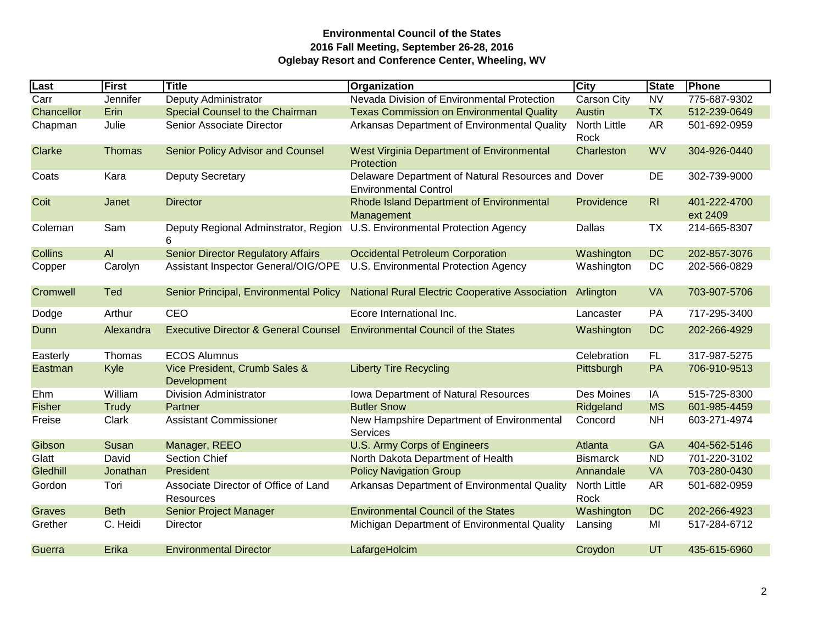| Last           | First         | <b>Title</b>                                             | Organization                                                                       | <b>City</b>          | <b>State</b>   | Phone                    |
|----------------|---------------|----------------------------------------------------------|------------------------------------------------------------------------------------|----------------------|----------------|--------------------------|
| Carr           | Jennifer      | Deputy Administrator                                     | Nevada Division of Environmental Protection                                        | Carson City          | <b>NV</b>      | 775-687-9302             |
| Chancellor     | Erin          | Special Counsel to the Chairman                          | <b>Texas Commission on Environmental Quality</b>                                   | Austin               | <b>TX</b>      | 512-239-0649             |
| Chapman        | Julie         | Senior Associate Director                                | Arkansas Department of Environmental Quality                                       | North Little<br>Rock | <b>AR</b>      | 501-692-0959             |
| <b>Clarke</b>  | <b>Thomas</b> | Senior Policy Advisor and Counsel                        | West Virginia Department of Environmental<br>Protection                            | Charleston           | <b>WV</b>      | 304-926-0440             |
| Coats          | Kara          | <b>Deputy Secretary</b>                                  | Delaware Department of Natural Resources and Dover<br><b>Environmental Control</b> |                      | DE             | 302-739-9000             |
| Coit           | Janet         | <b>Director</b>                                          | Rhode Island Department of Environmental<br>Management                             | Providence           | R <sub>1</sub> | 401-222-4700<br>ext 2409 |
| Coleman        | Sam           | Deputy Regional Adminstrator, Region<br>6                | U.S. Environmental Protection Agency                                               | Dallas               | TX             | 214-665-8307             |
| <b>Collins</b> | AI            | <b>Senior Director Regulatory Affairs</b>                | <b>Occidental Petroleum Corporation</b>                                            | Washington           | <b>DC</b>      | 202-857-3076             |
| Copper         | Carolyn       | Assistant Inspector General/OIG/OPE                      | U.S. Environmental Protection Agency                                               | Washington           | DC             | 202-566-0829             |
| Cromwell       | <b>Ted</b>    | Senior Principal, Environmental Policy                   | <b>National Rural Electric Cooperative Association</b>                             | Arlington            | <b>VA</b>      | 703-907-5706             |
| Dodge          | Arthur        | CEO                                                      | Ecore International Inc.                                                           | Lancaster            | PA             | 717-295-3400             |
| Dunn           | Alexandra     | <b>Executive Director &amp; General Counsel</b>          | <b>Environmental Council of the States</b>                                         | Washington           | <b>DC</b>      | 202-266-4929             |
| Easterly       | Thomas        | <b>ECOS Alumnus</b>                                      |                                                                                    | Celebration          | <b>FL</b>      | 317-987-5275             |
| Eastman        | Kyle          | Vice President, Crumb Sales &<br>Development             | <b>Liberty Tire Recycling</b>                                                      | Pittsburgh           | PA             | 706-910-9513             |
| Ehm            | William       | <b>Division Administrator</b>                            | Iowa Department of Natural Resources                                               | Des Moines           | IA             | 515-725-8300             |
| <b>Fisher</b>  | Trudy         | Partner                                                  | <b>Butler Snow</b>                                                                 | Ridgeland            | <b>MS</b>      | 601-985-4459             |
| Freise         | Clark         | <b>Assistant Commissioner</b>                            | New Hampshire Department of Environmental<br>Services                              | Concord              | <b>NH</b>      | 603-271-4974             |
| Gibson         | Susan         | Manager, REEO                                            | U.S. Army Corps of Engineers                                                       | Atlanta              | GA             | 404-562-5146             |
| Glatt          | David         | <b>Section Chief</b>                                     | North Dakota Department of Health                                                  | <b>Bismarck</b>      | <b>ND</b>      | 701-220-3102             |
| Gledhill       | Jonathan      | President                                                | <b>Policy Navigation Group</b>                                                     | Annandale            | <b>VA</b>      | 703-280-0430             |
| Gordon         | Tori          | Associate Director of Office of Land<br><b>Resources</b> | Arkansas Department of Environmental Quality                                       | North Little<br>Rock | <b>AR</b>      | 501-682-0959             |
| Graves         | <b>Beth</b>   | Senior Project Manager                                   | <b>Environmental Council of the States</b>                                         | Washington           | <b>DC</b>      | 202-266-4923             |
| Grether        | C. Heidi      | Director                                                 | Michigan Department of Environmental Quality                                       | Lansing              | MI             | 517-284-6712             |
| Guerra         | Erika         | <b>Environmental Director</b>                            | LafargeHolcim                                                                      | Croydon              | UT             | 435-615-6960             |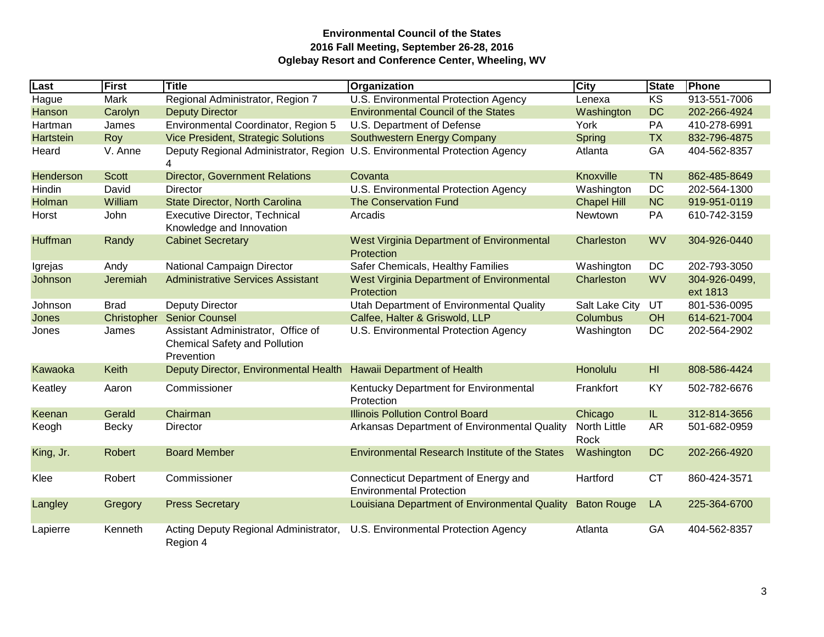| Last         | First        | <b>Title</b>                                                                             | Organization                                                               | <b>City</b>                 | <b>State</b> | Phone                     |
|--------------|--------------|------------------------------------------------------------------------------------------|----------------------------------------------------------------------------|-----------------------------|--------------|---------------------------|
| <b>Hague</b> | Mark         | Regional Administrator, Region 7                                                         | U.S. Environmental Protection Agency                                       | Lenexa                      | <b>KS</b>    | 913-551-7006              |
| Hanson       | Carolyn      | <b>Deputy Director</b>                                                                   | <b>Environmental Council of the States</b>                                 | Washington                  | <b>DC</b>    | 202-266-4924              |
| Hartman      | James        | Environmental Coordinator, Region 5                                                      | U.S. Department of Defense                                                 | York                        | PA           | 410-278-6991              |
| Hartstein    | Roy          | Vice President, Strategic Solutions                                                      | Southwestern Energy Company                                                | Spring                      | <b>TX</b>    | 832-796-4875              |
| Heard        | V. Anne      | 4                                                                                        | Deputy Regional Administrator, Region U.S. Environmental Protection Agency | Atlanta                     | GA           | 404-562-8357              |
| Henderson    | <b>Scott</b> | <b>Director, Government Relations</b>                                                    | Covanta                                                                    | Knoxville                   | <b>TN</b>    | 862-485-8649              |
| Hindin       | David        | Director                                                                                 | U.S. Environmental Protection Agency                                       | Washington                  | DC           | 202-564-1300              |
| Holman       | William      | State Director, North Carolina                                                           | <b>The Conservation Fund</b>                                               | <b>Chapel Hill</b>          | <b>NC</b>    | 919-951-0119              |
| Horst        | John         | <b>Executive Director, Technical</b><br>Knowledge and Innovation                         | Arcadis                                                                    | Newtown                     | PA           | 610-742-3159              |
| Huffman      | Randy        | <b>Cabinet Secretary</b>                                                                 | <b>West Virginia Department of Environmental</b><br>Protection             | Charleston                  | <b>WV</b>    | 304-926-0440              |
| Igrejas      | Andy         | National Campaign Director                                                               | Safer Chemicals, Healthy Families                                          | Washington                  | DC           | 202-793-3050              |
| Johnson      | Jeremiah     | <b>Administrative Services Assistant</b>                                                 | West Virginia Department of Environmental<br>Protection                    | Charleston                  | <b>WV</b>    | 304-926-0499,<br>ext 1813 |
| Johnson      | <b>Brad</b>  | <b>Deputy Director</b>                                                                   | Utah Department of Environmental Quality                                   | Salt Lake City              | UT           | 801-536-0095              |
| Jones        | Christopher  | <b>Senior Counsel</b>                                                                    | Calfee, Halter & Griswold, LLP                                             | <b>Columbus</b>             | <b>OH</b>    | 614-621-7004              |
| Jones        | James        | Assistant Administrator, Office of<br><b>Chemical Safety and Pollution</b><br>Prevention | U.S. Environmental Protection Agency                                       | Washington                  | <b>DC</b>    | 202-564-2902              |
| Kawaoka      | Keith        | Deputy Director, Environmental Health                                                    | <b>Hawaii Department of Health</b>                                         | Honolulu                    | HI.          | 808-586-4424              |
| Keatley      | Aaron        | Commissioner                                                                             | Kentucky Department for Environmental<br>Protection                        | Frankfort                   | KY           | 502-782-6676              |
| Keenan       | Gerald       | Chairman                                                                                 | <b>Illinois Pollution Control Board</b>                                    | Chicago                     | IL.          | 312-814-3656              |
| Keogh        | <b>Becky</b> | Director                                                                                 | Arkansas Department of Environmental Quality                               | <b>North Little</b><br>Rock | <b>AR</b>    | 501-682-0959              |
| King, Jr.    | Robert       | <b>Board Member</b>                                                                      | <b>Environmental Research Institute of the States</b>                      | Washington                  | <b>DC</b>    | 202-266-4920              |
| Klee         | Robert       | Commissioner                                                                             | Connecticut Department of Energy and<br><b>Environmental Protection</b>    | Hartford                    | <b>CT</b>    | 860-424-3571              |
| Langley      | Gregory      | <b>Press Secretary</b>                                                                   | Louisiana Department of Environmental Quality                              | <b>Baton Rouge</b>          | LA           | 225-364-6700              |
| Lapierre     | Kenneth      | Acting Deputy Regional Administrator,<br>Region 4                                        | U.S. Environmental Protection Agency                                       | Atlanta                     | GA           | 404-562-8357              |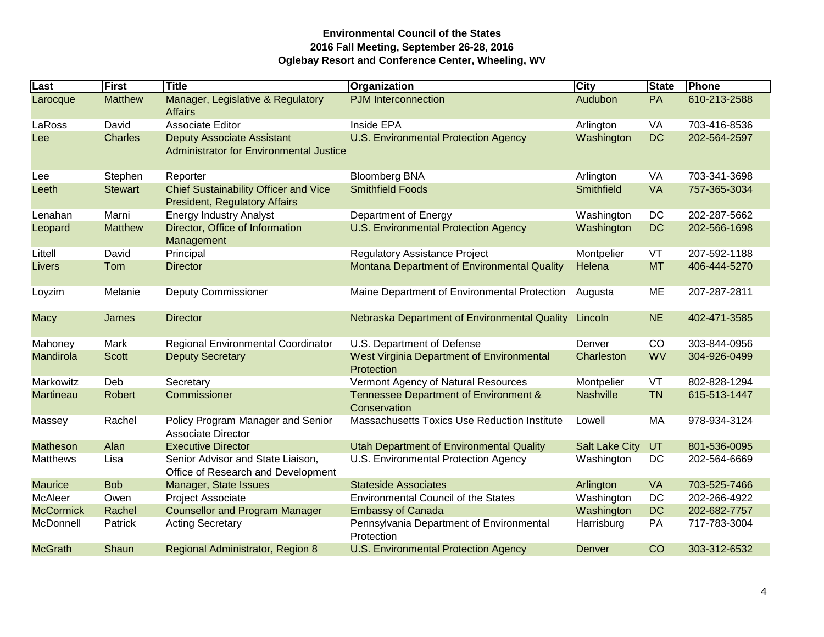| Last             | First          | <b>Title</b>                                                                         | Organization                                                   | <b>City</b>           | <b>State</b> | Phone        |
|------------------|----------------|--------------------------------------------------------------------------------------|----------------------------------------------------------------|-----------------------|--------------|--------------|
| Larocque         | <b>Matthew</b> | Manager, Legislative & Regulatory<br><b>Affairs</b>                                  | <b>PJM</b> Interconnection                                     | Audubon               | <b>PA</b>    | 610-213-2588 |
| LaRoss           | David          | <b>Associate Editor</b>                                                              | Inside EPA                                                     | Arlington             | VA           | 703-416-8536 |
| Lee              | <b>Charles</b> | <b>Deputy Associate Assistant</b><br><b>Administrator for Environmental Justice</b>  | U.S. Environmental Protection Agency                           | Washington            | <b>DC</b>    | 202-564-2597 |
| Lee              | Stephen        | Reporter                                                                             | <b>Bloomberg BNA</b>                                           | Arlington             | VA           | 703-341-3698 |
| Leeth            | <b>Stewart</b> | <b>Chief Sustainability Officer and Vice</b><br><b>President, Regulatory Affairs</b> | <b>Smithfield Foods</b>                                        | Smithfield            | <b>VA</b>    | 757-365-3034 |
| Lenahan          | Marni          | <b>Energy Industry Analyst</b>                                                       | Department of Energy                                           | Washington            | DC           | 202-287-5662 |
| Leopard          | <b>Matthew</b> | Director, Office of Information<br>Management                                        | <b>U.S. Environmental Protection Agency</b>                    | Washington            | <b>DC</b>    | 202-566-1698 |
| Littell          | David          | Principal                                                                            | <b>Regulatory Assistance Project</b>                           | Montpelier            | VT           | 207-592-1188 |
| Livers           | Tom            | <b>Director</b>                                                                      | Montana Department of Environmental Quality                    | Helena                | <b>MT</b>    | 406-444-5270 |
| Loyzim           | Melanie        | <b>Deputy Commissioner</b>                                                           | Maine Department of Environmental Protection                   | Augusta               | ME           | 207-287-2811 |
| <b>Macy</b>      | James          | <b>Director</b>                                                                      | Nebraska Department of Environmental Quality Lincoln           |                       | <b>NE</b>    | 402-471-3585 |
| Mahoney          | Mark           | Regional Environmental Coordinator                                                   | U.S. Department of Defense                                     | Denver                | CO           | 303-844-0956 |
| Mandirola        | <b>Scott</b>   | <b>Deputy Secretary</b>                                                              | <b>West Virginia Department of Environmental</b><br>Protection | Charleston            | <b>WV</b>    | 304-926-0499 |
| Markowitz        | Deb            | Secretary                                                                            | Vermont Agency of Natural Resources                            | Montpelier            | VT           | 802-828-1294 |
| <b>Martineau</b> | <b>Robert</b>  | Commissioner                                                                         | Tennessee Department of Environment &<br>Conservation          | <b>Nashville</b>      | <b>TN</b>    | 615-513-1447 |
| Massey           | Rachel         | Policy Program Manager and Senior<br>Associate Director                              | Massachusetts Toxics Use Reduction Institute                   | Lowell                | MA           | 978-934-3124 |
| Matheson         | Alan           | <b>Executive Director</b>                                                            | <b>Utah Department of Environmental Quality</b>                | <b>Salt Lake City</b> | <b>UT</b>    | 801-536-0095 |
| <b>Matthews</b>  | Lisa           | Senior Advisor and State Liaison,<br>Office of Research and Development              | U.S. Environmental Protection Agency                           | Washington            | DC           | 202-564-6669 |
| <b>Maurice</b>   | <b>Bob</b>     | Manager, State Issues                                                                | <b>Stateside Associates</b>                                    | Arlington             | <b>VA</b>    | 703-525-7466 |
| <b>McAleer</b>   | Owen           | Project Associate                                                                    | <b>Environmental Council of the States</b>                     | Washington            | DC           | 202-266-4922 |
| <b>McCormick</b> | Rachel         | <b>Counsellor and Program Manager</b>                                                | <b>Embassy of Canada</b>                                       | Washington            | <b>DC</b>    | 202-682-7757 |
| McDonnell        | Patrick        | <b>Acting Secretary</b>                                                              | Pennsylvania Department of Environmental<br>Protection         | Harrisburg            | PA           | 717-783-3004 |
| <b>McGrath</b>   | Shaun          | <b>Regional Administrator, Region 8</b>                                              | <b>U.S. Environmental Protection Agency</b>                    | Denver                | CO           | 303-312-6532 |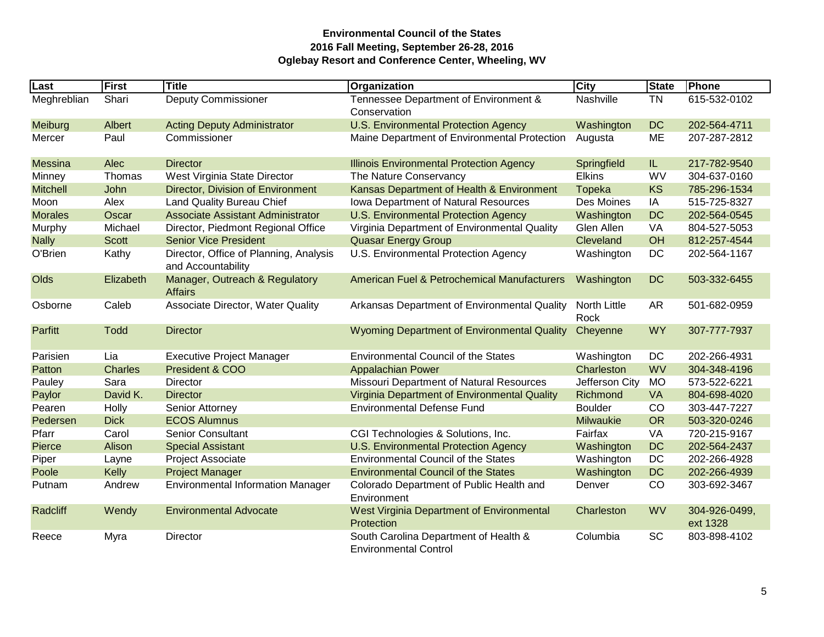| Last            | First          | <b>Title</b>                                                 | Organization                                                          | City                        | <b>State</b> | Phone                     |
|-----------------|----------------|--------------------------------------------------------------|-----------------------------------------------------------------------|-----------------------------|--------------|---------------------------|
| Meghreblian     | Shari          | <b>Deputy Commissioner</b>                                   | Tennessee Department of Environment &<br>Conservation                 | Nashville                   | <b>TN</b>    | 615-532-0102              |
| Meiburg         | Albert         | <b>Acting Deputy Administrator</b>                           | U.S. Environmental Protection Agency                                  | Washington                  | <b>DC</b>    | 202-564-4711              |
| Mercer          | Paul           | Commissioner                                                 | Maine Department of Environmental Protection                          | Augusta                     | ME           | 207-287-2812              |
| <b>Messina</b>  | Alec           | <b>Director</b>                                              | <b>Illinois Environmental Protection Agency</b>                       | Springfield                 | IL.          | 217-782-9540              |
| Minney          | Thomas         | West Virginia State Director                                 | The Nature Conservancy                                                | <b>Elkins</b>               | <b>WV</b>    | 304-637-0160              |
| <b>Mitchell</b> | John           | Director, Division of Environment                            | Kansas Department of Health & Environment                             | Topeka                      | <b>KS</b>    | 785-296-1534              |
| Moon            | Alex           | <b>Land Quality Bureau Chief</b>                             | Iowa Department of Natural Resources                                  | Des Moines                  | IA           | 515-725-8327              |
| <b>Morales</b>  | Oscar          | <b>Associate Assistant Administrator</b>                     | U.S. Environmental Protection Agency                                  | Washington                  | <b>DC</b>    | 202-564-0545              |
| Murphy          | Michael        | Director, Piedmont Regional Office                           | Virginia Department of Environmental Quality                          | Glen Allen                  | VA           | 804-527-5053              |
| <b>Nally</b>    | <b>Scott</b>   | <b>Senior Vice President</b>                                 | <b>Quasar Energy Group</b>                                            | Cleveland                   | OH           | 812-257-4544              |
| O'Brien         | Kathy          | Director, Office of Planning, Analysis<br>and Accountability | U.S. Environmental Protection Agency                                  | Washington                  | DC           | 202-564-1167              |
| Olds            | Elizabeth      | Manager, Outreach & Regulatory<br><b>Affairs</b>             | American Fuel & Petrochemical Manufacturers                           | Washington                  | <b>DC</b>    | 503-332-6455              |
| Osborne         | Caleb          | Associate Director, Water Quality                            | Arkansas Department of Environmental Quality                          | <b>North Little</b><br>Rock | AR           | 501-682-0959              |
| Parfitt         | <b>Todd</b>    | <b>Director</b>                                              | Wyoming Department of Environmental Quality                           | Cheyenne                    | <b>WY</b>    | 307-777-7937              |
| Parisien        | Lia            | <b>Executive Project Manager</b>                             | <b>Environmental Council of the States</b>                            | Washington                  | DC           | 202-266-4931              |
| Patton          | <b>Charles</b> | President & COO                                              | <b>Appalachian Power</b>                                              | Charleston                  | <b>WV</b>    | 304-348-4196              |
| Pauley          | Sara           | Director                                                     | Missouri Department of Natural Resources                              | Jefferson City              | <b>MO</b>    | 573-522-6221              |
| Paylor          | David K.       | <b>Director</b>                                              | Virginia Department of Environmental Quality                          | Richmond                    | <b>VA</b>    | 804-698-4020              |
| Pearen          | Holly          | Senior Attorney                                              | <b>Environmental Defense Fund</b>                                     | <b>Boulder</b>              | CO           | 303-447-7227              |
| Pedersen        | <b>Dick</b>    | <b>ECOS Alumnus</b>                                          |                                                                       | <b>Milwaukie</b>            | <b>OR</b>    | 503-320-0246              |
| Pfarr           | Carol          | Senior Consultant                                            | CGI Technologies & Solutions, Inc.                                    | Fairfax                     | VA           | 720-215-9167              |
| Pierce          | Alison         | <b>Special Assistant</b>                                     | <b>U.S. Environmental Protection Agency</b>                           | Washington                  | <b>DC</b>    | 202-564-2437              |
| Piper           | Layne          | Project Associate                                            | <b>Environmental Council of the States</b>                            | Washington                  | DC           | 202-266-4928              |
| Poole           | Kelly          | <b>Project Manager</b>                                       | <b>Environmental Council of the States</b>                            | Washington                  | <b>DC</b>    | 202-266-4939              |
| Putnam          | Andrew         | <b>Environmental Information Manager</b>                     | Colorado Department of Public Health and<br>Environment               | Denver                      | CO           | 303-692-3467              |
| Radcliff        | Wendy          | <b>Environmental Advocate</b>                                | West Virginia Department of Environmental<br>Protection               | Charleston                  | <b>WV</b>    | 304-926-0499,<br>ext 1328 |
| Reece           | Myra           | Director                                                     | South Carolina Department of Health &<br><b>Environmental Control</b> | Columbia                    | <b>SC</b>    | 803-898-4102              |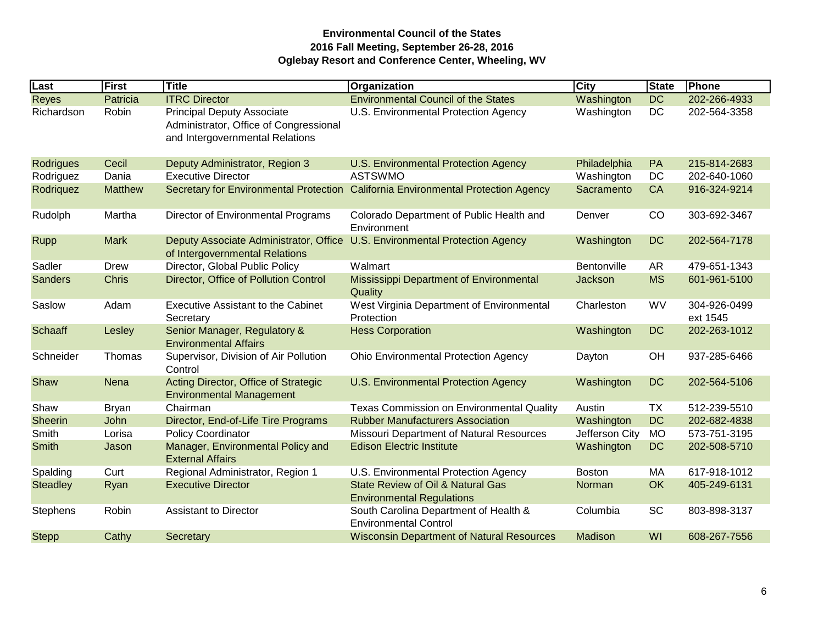| Last            | First          | Title                                                                                                          | Organization                                                                      | City           | <b>State</b> | Phone                    |
|-----------------|----------------|----------------------------------------------------------------------------------------------------------------|-----------------------------------------------------------------------------------|----------------|--------------|--------------------------|
| <b>Reyes</b>    | Patricia       | <b>ITRC Director</b>                                                                                           | <b>Environmental Council of the States</b>                                        | Washington     | <b>DC</b>    | 202-266-4933             |
| Richardson      | Robin          | <b>Principal Deputy Associate</b><br>Administrator, Office of Congressional<br>and Intergovernmental Relations | U.S. Environmental Protection Agency                                              | Washington     | <b>DC</b>    | 202-564-3358             |
| Rodrigues       | Cecil          | Deputy Administrator, Region 3                                                                                 | U.S. Environmental Protection Agency                                              | Philadelphia   | PA           | 215-814-2683             |
| Rodriguez       | Dania          | <b>Executive Director</b>                                                                                      | <b>ASTSWMO</b>                                                                    | Washington     | <b>DC</b>    | 202-640-1060             |
| Rodriquez       | <b>Matthew</b> |                                                                                                                | Secretary for Environmental Protection California Environmental Protection Agency | Sacramento     | <b>CA</b>    | 916-324-9214             |
| Rudolph         | Martha         | Director of Environmental Programs                                                                             | Colorado Department of Public Health and<br>Environment                           | Denver         | CO           | 303-692-3467             |
| <b>Rupp</b>     | <b>Mark</b>    | Deputy Associate Administrator, Office<br>of Intergovernmental Relations                                       | <b>U.S. Environmental Protection Agency</b>                                       | Washington     | <b>DC</b>    | 202-564-7178             |
| Sadler          | <b>Drew</b>    | Director, Global Public Policy                                                                                 | Walmart                                                                           | Bentonville    | AR           | 479-651-1343             |
| <b>Sanders</b>  | <b>Chris</b>   | Director, Office of Pollution Control                                                                          | Mississippi Department of Environmental<br>Quality                                | Jackson        | <b>MS</b>    | 601-961-5100             |
| Saslow          | Adam           | <b>Executive Assistant to the Cabinet</b><br>Secretary                                                         | West Virginia Department of Environmental<br>Protection                           | Charleston     | <b>WV</b>    | 304-926-0499<br>ext 1545 |
| <b>Schaaff</b>  | Lesley         | Senior Manager, Regulatory &<br><b>Environmental Affairs</b>                                                   | <b>Hess Corporation</b>                                                           | Washington     | <b>DC</b>    | 202-263-1012             |
| Schneider       | Thomas         | Supervisor, Division of Air Pollution<br>Control                                                               | <b>Ohio Environmental Protection Agency</b>                                       | Dayton         | OH           | 937-285-6466             |
| Shaw            | Nena           | Acting Director, Office of Strategic<br><b>Environmental Management</b>                                        | U.S. Environmental Protection Agency                                              | Washington     | <b>DC</b>    | 202-564-5106             |
| Shaw            | <b>Bryan</b>   | Chairman                                                                                                       | <b>Texas Commission on Environmental Quality</b>                                  | Austin         | ТX           | 512-239-5510             |
| <b>Sheerin</b>  | John           | Director, End-of-Life Tire Programs                                                                            | <b>Rubber Manufacturers Association</b>                                           | Washington     | <b>DC</b>    | 202-682-4838             |
| Smith           | Lorisa         | <b>Policy Coordinator</b>                                                                                      | Missouri Department of Natural Resources                                          | Jefferson City | <b>MO</b>    | 573-751-3195             |
| <b>Smith</b>    | Jason          | Manager, Environmental Policy and<br><b>External Affairs</b>                                                   | <b>Edison Electric Institute</b>                                                  | Washington     | <b>DC</b>    | 202-508-5710             |
| Spalding        | Curt           | Regional Administrator, Region 1                                                                               | U.S. Environmental Protection Agency                                              | <b>Boston</b>  | МA           | 617-918-1012             |
| <b>Steadley</b> | Ryan           | <b>Executive Director</b>                                                                                      | <b>State Review of Oil &amp; Natural Gas</b><br><b>Environmental Regulations</b>  | Norman         | <b>OK</b>    | 405-249-6131             |
| Stephens        | Robin          | <b>Assistant to Director</b>                                                                                   | South Carolina Department of Health &<br><b>Environmental Control</b>             | Columbia       | <b>SC</b>    | 803-898-3137             |
| <b>Stepp</b>    | Cathy          | Secretary                                                                                                      | <b>Wisconsin Department of Natural Resources</b>                                  | Madison        | WI           | 608-267-7556             |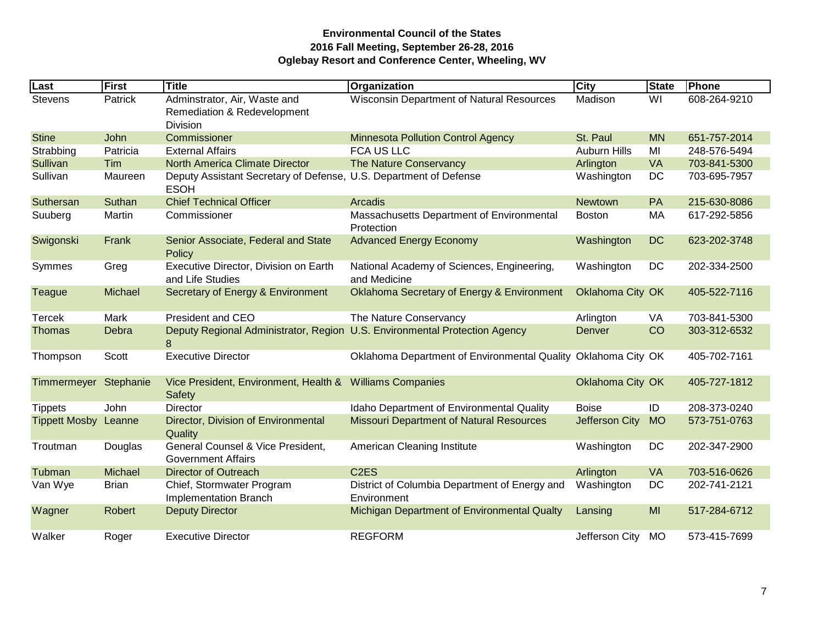| Last                  | First        | Title                                                                            | Organization                                                               | City                | <b>State</b> | Phone        |
|-----------------------|--------------|----------------------------------------------------------------------------------|----------------------------------------------------------------------------|---------------------|--------------|--------------|
| Stevens               | Patrick      | Adminstrator, Air, Waste and<br>Remediation & Redevelopment<br><b>Division</b>   | Wisconsin Department of Natural Resources                                  | Madison             | WI           | 608-264-9210 |
| <b>Stine</b>          | John         | Commissioner                                                                     | <b>Minnesota Pollution Control Agency</b>                                  | St. Paul            | <b>MN</b>    | 651-757-2014 |
| Strabbing             | Patricia     | <b>External Affairs</b>                                                          | <b>FCA US LLC</b>                                                          | <b>Auburn Hills</b> | MI           | 248-576-5494 |
| Sullivan              | Tim          | <b>North America Climate Director</b>                                            | <b>The Nature Conservancy</b>                                              | Arlington           | VA           | 703-841-5300 |
| Sullivan              | Maureen      | Deputy Assistant Secretary of Defense, U.S. Department of Defense<br><b>ESOH</b> |                                                                            | Washington          | DC           | 703-695-7957 |
| Suthersan             | Suthan       | <b>Chief Technical Officer</b>                                                   | Arcadis                                                                    | Newtown             | PA           | 215-630-8086 |
| Suuberg               | Martin       | Commissioner                                                                     | Massachusetts Department of Environmental<br>Protection                    | <b>Boston</b>       | MA           | 617-292-5856 |
| Swigonski             | Frank        | Senior Associate, Federal and State<br>Policy                                    | <b>Advanced Energy Economy</b>                                             | Washington          | <b>DC</b>    | 623-202-3748 |
| Symmes                | Greg         | Executive Director, Division on Earth<br>and Life Studies                        | National Academy of Sciences, Engineering,<br>and Medicine                 | Washington          | DC           | 202-334-2500 |
| <b>Teague</b>         | Michael      | Secretary of Energy & Environment                                                | Oklahoma Secretary of Energy & Environment                                 | Oklahoma City OK    |              | 405-522-7116 |
| <b>Tercek</b>         | Mark         | <b>President and CEO</b>                                                         | The Nature Conservancy                                                     | Arlington           | VA           | 703-841-5300 |
| <b>Thomas</b>         | Debra        | 8                                                                                | Deputy Regional Administrator, Region U.S. Environmental Protection Agency | <b>Denver</b>       | CO           | 303-312-6532 |
| Thompson              | Scott        | <b>Executive Director</b>                                                        | Oklahoma Department of Environmental Quality Oklahoma City OK              |                     |              | 405-702-7161 |
| Timmermeyer Stephanie |              | Vice President, Environment, Health &<br>Safety                                  | <b>Williams Companies</b>                                                  | Oklahoma City OK    |              | 405-727-1812 |
| <b>Tippets</b>        | John         | <b>Director</b>                                                                  | Idaho Department of Environmental Quality                                  | <b>Boise</b>        | ID           | 208-373-0240 |
| <b>Tippett Mosby</b>  | Leanne       | Director, Division of Environmental<br>Quality                                   | <b>Missouri Department of Natural Resources</b>                            | Jefferson City      | <b>MO</b>    | 573-751-0763 |
| Troutman              | Douglas      | General Counsel & Vice President,<br><b>Government Affairs</b>                   | American Cleaning Institute                                                | Washington          | DC           | 202-347-2900 |
| Tubman                | Michael      | <b>Director of Outreach</b>                                                      | C <sub>2</sub> E <sub>S</sub>                                              | Arlington           | <b>VA</b>    | 703-516-0626 |
| Van Wye               | <b>Brian</b> | Chief, Stormwater Program<br>Implementation Branch                               | District of Columbia Department of Energy and<br>Environment               | Washington          | DC           | 202-741-2121 |
| Wagner                | Robert       | <b>Deputy Director</b>                                                           | Michigan Department of Environmental Qualty                                | Lansing             | MI           | 517-284-6712 |
| Walker                | Roger        | <b>Executive Director</b>                                                        | <b>REGFORM</b>                                                             | Jefferson City      | <b>MO</b>    | 573-415-7699 |